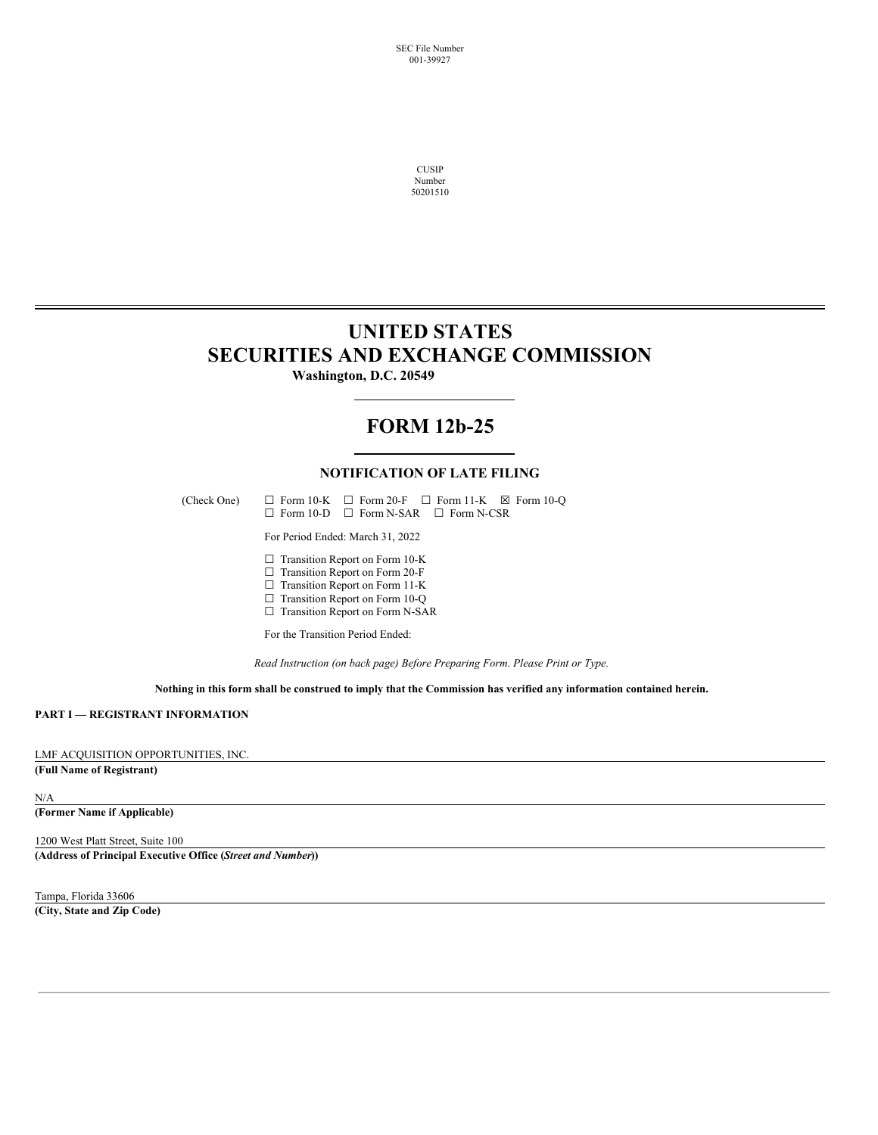SEC File Number 001-39927

> CUSIP Number 50201510

## **UNITED STATES SECURITIES AND EXCHANGE COMMISSION**

**Washington, D.C. 20549**

## **FORM 12b-25**

## **NOTIFICATION OF LATE FILING**

(Check One)  $\Box$  Form 10-K  $\Box$  Form 20-F  $\Box$  Form 11-K  $\boxtimes$  Form 10-Q ☐ Form 10-D ☐ Form N-SAR ☐ Form N-CSR

For Period Ended: March 31, 2022

□ Transition Report on Form 10-K

 $\Box$  Transition Report on Form 20-F

□ Transition Report on Form 11-K

 $\Box$  Transition Report on Form 10-Q

□ Transition Report on Form N-SAR

For the Transition Period Ended:

*Read Instruction (on back page) Before Preparing Form. Please Print or Type.*

Nothing in this form shall be construed to imply that the Commission has verified any information contained herein.

#### **PART I — REGISTRANT INFORMATION**

### LMF ACQUISITION OPPORTUNITIES, INC.

## **(Full Name of Registrant)**

#### N/A

**(Former Name if Applicable)**

#### 1200 West Platt Street, Suite 100

**(Address of Principal Executive Office (***Street and Number***))**

Tampa, Florida 33606

**(City, State and Zip Code)**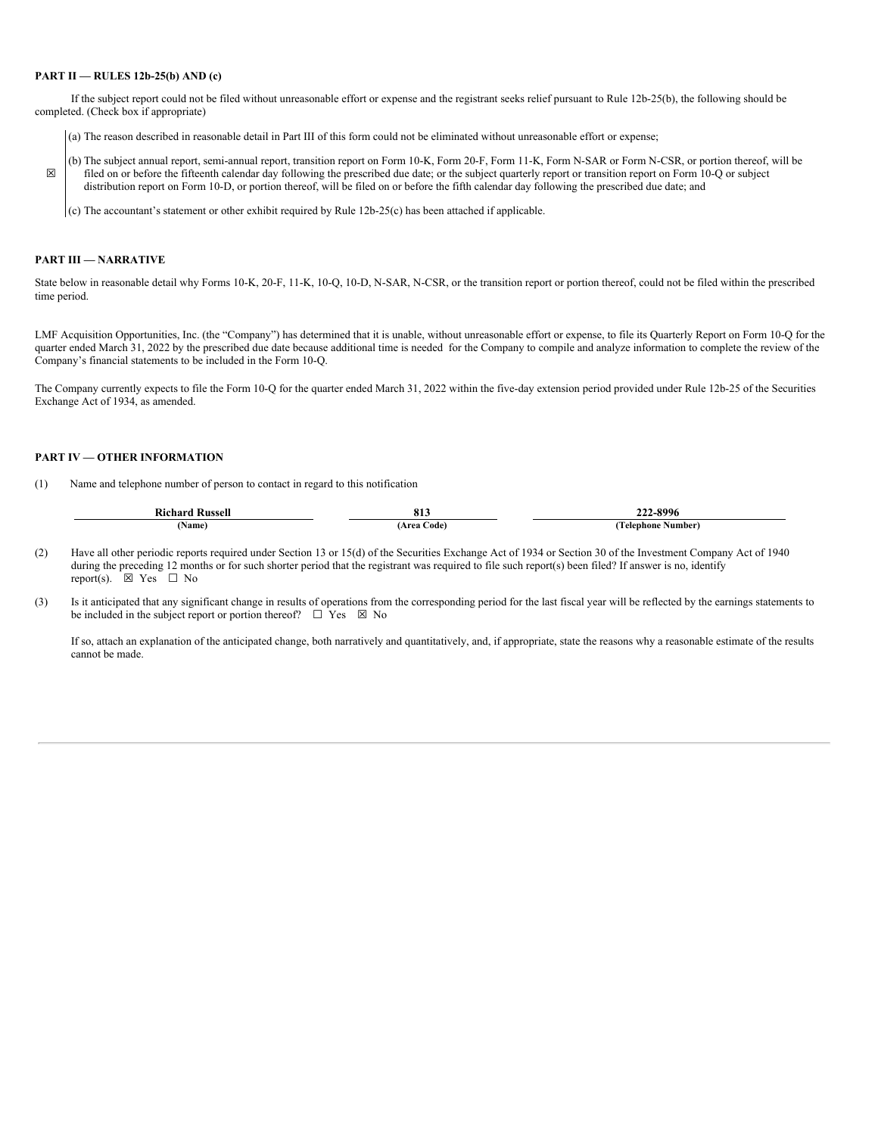#### **PART II — RULES 12b-25(b) AND (c)**

If the subject report could not be filed without unreasonable effort or expense and the registrant seeks relief pursuant to Rule 12b-25(b), the following should be completed. (Check box if appropriate)

- (a) The reason described in reasonable detail in Part III of this form could not be eliminated without unreasonable effort or expense;
- ☒ (b) The subject annual report, semi-annual report, transition report on Form 10-K, Form 20-F, Form 11-K, Form N-SAR or Form N-CSR, or portion thereof, will be filed on or before the fifteenth calendar day following the prescribed due date; or the subject quarterly report or transition report on Form 10-Q or subject distribution report on Form 10-D, or portion thereof, will be filed on or before the fifth calendar day following the prescribed due date; and

(c) The accountant's statement or other exhibit required by Rule 12b-25(c) has been attached if applicable.

### **PART III — NARRATIVE**

State below in reasonable detail why Forms 10-K, 20-F, 11-K, 10-Q, 10-D, N-SAR, N-CSR, or the transition report or portion thereof, could not be filed within the prescribed time period.

LMF Acquisition Opportunities, Inc. (the "Company") has determined that it is unable, without unreasonable effort or expense, to file its Quarterly Report on Form 10-Q for the quarter ended March 31, 2022 by the prescribed due date because additional time is needed for the Company to compile and analyze information to complete the review of the Company's financial statements to be included in the Form 10-Q.

The Company currently expects to file the Form 10-Q for the quarter ended March 31, 2022 within the five-day extension period provided under Rule 12b-25 of the Securities Exchange Act of 1934, as amended.

#### **PART IV — OTHER INFORMATION**

(1) Name and telephone number of person to contact in regard to this notification

| <b>Richard Russell</b> | 011<br>01.  | 222-8996          |
|------------------------|-------------|-------------------|
| <b>Name)</b>           | Area Code). | Telephone Number) |

- (2) Have all other periodic reports required under Section 13 or 15(d) of the Securities Exchange Act of 1934 or Section 30 of the Investment Company Act of 1940 during the preceding 12 months or for such shorter period that the registrant was required to file such report(s) been filed? If answer is no, identify report(s).  $\boxtimes$  Yes  $\Box$  No
- (3) Is it anticipated that any significant change in results of operations from the corresponding period for the last fiscal year will be reflected by the earnings statements to be included in the subject report or portion thereof?  $\Box$  Yes  $\boxtimes$  No

If so, attach an explanation of the anticipated change, both narratively and quantitatively, and, if appropriate, state the reasons why a reasonable estimate of the results cannot be made.